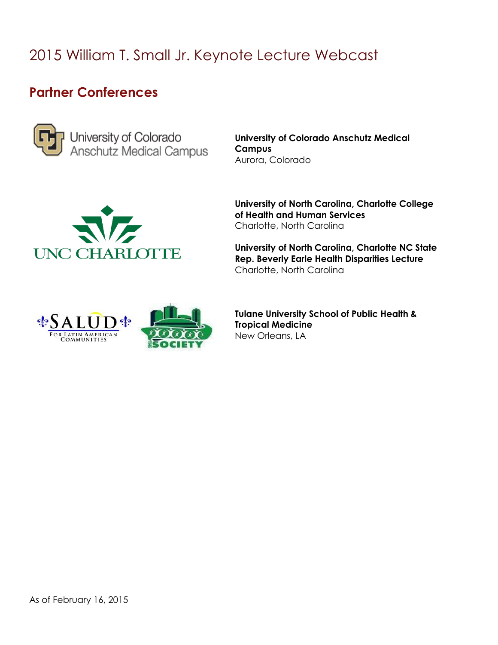## 2015 William T. Small Jr. Keynote Lecture Webcast

## **Partner Conferences**



University of Colorado<br>Anschutz Medical Campus

**University of Colorado Anschutz Medical Campus** Aurora, Colorado



**University of North Carolina, Charlotte College of Health and Human Services** Charlotte, North Carolina

**University of North Carolina, Charlotte NC State Rep. Beverly Earle Health Disparities Lecture** Charlotte, North Carolina



**Tulane University School of Public Health & Tropical Medicine** New Orleans, LA